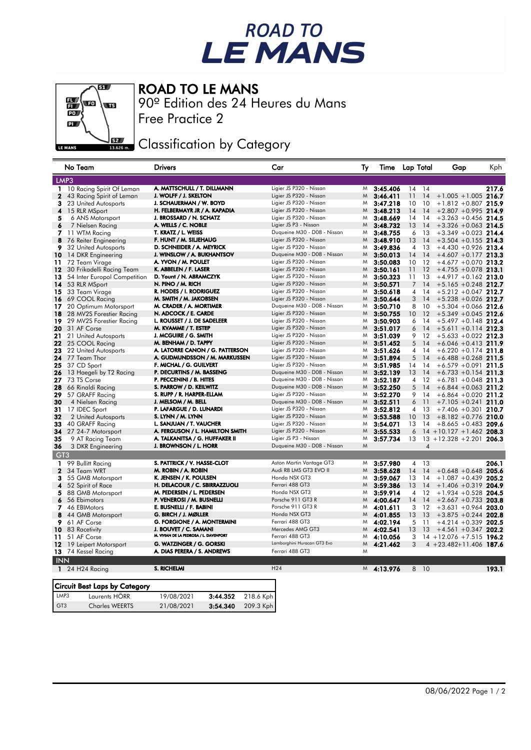## ROAD TO<br>LE MANS



ROAD TO LE MANS

Free Practice 2 90º Edition des 24 Heures du Mans

Classification by Category

|                 | No Team                       | <b>Drivers</b>                         |           | Car                         | Тy | Time       |                 | Lap Total | Gap                         | Kph   |
|-----------------|-------------------------------|----------------------------------------|-----------|-----------------------------|----|------------|-----------------|-----------|-----------------------------|-------|
|                 | LMP3                          |                                        |           |                             |    |            |                 |           |                             |       |
| 1               | 10 Racing Spirit Of Leman     | A. MATTSCHULL / T. DILLMANN            |           | Ligier JS P320 - Nissan     | M  | 3:45.406   |                 | 14 14     |                             | 217.6 |
| 2               | 43 Racing Spirit of Leman     | J. WOLFF / J. SKELTON                  |           | Ligier JS P320 - Nissan     | M  | 3:46.411   | 11              | 14        | $+1.005 + 1.005$ 216.7      |       |
| 3               | 23 United Autosports          | J. SCHAUERMAN / W. BOYD                |           | Ligier JS P320 - Nissan     | M  | 3:47.218   | 10              | 10        | $+1.812 +0.807$ 215.9       |       |
| 4               | 15 RLR MSport                 | H. FELBERMAYR JR / A. KAPADIA          |           | Ligier JS P320 - Nissan     | M  | 3:48.213   | 14              | 14        | $+2.807 + 0.995$ 214.9      |       |
| 5               | 6 ANS Motorsport              | J. BROSSARD / N. SCHATZ                |           | Ligier JS P320 - Nissan     | M  | 3:48.669   | 14              | 14        | $+3.263 + 0.456$ 214.5      |       |
| 6               | 7 Nielsen Racing              | A. WELLS / C. NOBLE                    |           | Ligier JS P3 - Nissan       | M  | 3:48.732   | 13              | 14        | $+3.326 + 0.063$ 214.5      |       |
| 7               | 11 WTM Racing                 | T. KRATZ / L. WEISS                    |           | Duqueine M30 - D08 - Nissan | M  | 3:48.755   | 6               | -13       | $+3.349 + 0.023$            | 214.4 |
| 8               | 76 Reiter Engineering         | F. HUNT / M. SILJEHAUG                 |           | Ligier JS P320 - Nissan     | M  | 3:48.910   | 13              | 14        | $+3.504 + 0.155$ 214.3      |       |
| 9               | 32 United Autosports          | D. SCHNEIDER / A. MEYRICK              |           | Ligier JS P320 - Nissan     | M  | 3:49.836   | $\overline{4}$  | 13        | $+4.430 +0.926$ 213.4       |       |
| 10              | 14 DKR Engineering            | J. WINSLOW / A. BUKHANTSOV             |           | Duqueine M30 - D08 - Nissan | M  | 3:50.013   | 14              | 14        | $+4.607 +0.177$ 213.3       |       |
| 11              | 72 Team Virage                | A. YVON / M. POULET                    |           | Ligier JS P320 - Nissan     | M  | 3:50.083   | 10              | 12        | $+4.677 +0.070$             | 213.2 |
| 12              | 30 Frikadelli Racing Team     | K. ABBELEN / F. LASER                  |           | Ligier JS P320 - Nissan     | M  | 3:50.161   | 11              | 12        | $+4.755 + 0.078$ 213.1      |       |
| 13              | 54 Inter Europol Competition  | D. Yount / N. ABRAMCZYK                |           | Ligier JS P320 - Nissan     | M  | 3:50.323   | 11              | 13        | $+4.917 +0.162$ 213.0       |       |
| 14              | 53 RLR MSport                 | N. PINO / M. RICH                      |           | Ligier JS P320 - Nissan     | M  | 3:50.571   | 7               | 14        | $+5.165 + 0.248$ 212.7      |       |
|                 | 15 33 Team Virage             | R. HODES / I. RODRIGUEZ                |           | Ligier JS P320 - Nissan     | M  | 3:50.618   | 4               | 14        | $+5.212 + 0.047$ 212.7      |       |
| 16              | 69 COOL Racing                | M. SMITH / M. JAKOBSEN                 |           | Ligier JS P320 - Nissan     | M  | 3:50.644   | 3               | 14        | $+5.238 + 0.026$ 212.7      |       |
| 17              | 20 Optimum Motorsport         | M. CRADER / A. MORTIMER                |           | Duqueine M30 - D08 - Nissan | M  | 3:50.710   | 8               | 10        | $+5.304 + 0.066$ 212.6      |       |
| 18              | 28 MV2S Forestier Racing      | N. ADCOCK / E. CARDE                   |           | Ligier JS P320 - Nissan     | M  | 3:50.755   | 10              | 12        | $+5.349 + 0.045$ 212.6      |       |
| 19              | 29 MV2S Forestier Racing      | L. ROUSSET / J. DE SADELEER            |           | Ligier JS P320 - Nissan     | M  | 3:50.903   | 6               | 14        | $+5.497 +0.148$ 212.4       |       |
| 20              | 31 AF Corse                   | M. KVAMME / T. ESTEP                   |           | Ligier JS P320 - Nissan     | M  | 3:51.017   | 6               | 14        | $+5.611 + 0.114$ 212.3      |       |
| 21              | 21 United Autosports          | J. MCGUIRE / G. SMITH                  |           | Ligier JS P320 - Nissan     | M  | 3:51.039   | 9               | 12        | $+5.633 +0.022$ 212.3       |       |
| 22              | 25 COOL Racing                | M. BENHAM / D. TAPPY                   |           | Ligier JS P320 - Nissan     | M  | 3:51.452   | 5               | 14        | $+6.046 + 0.413$ 211.9      |       |
| 23              | 22 United Autosports          | A. LATORRE CANON / G. PATTERSON        |           | Ligier JS P320 - Nissan     | M  | 3:51.626   | 4               | 14        | $+6.220 +0.174$ 211.8       |       |
| 24              | 77 Team Thor                  | A. GUDMUNDSSON / M. MARKUSSEN          |           | Ligier JS P320 - Nissan     | M  | 3:51.894   | 5               | 14        | $+6.488 + 0.268$ 211.5      |       |
| 25              | 37 CD Sport                   | F. MICHAL / G. GUILVERT                |           | Ligier JS P320 - Nissan     | M  | 3:51.985   | 14              | 14        | $+6.579 + 0.091$ 211.5      |       |
| 26              | 13 Haegeli by T2 Racing       | P. DECURTINS / M. BASSENG              |           | Duqueine M30 - D08 - Nissan | M  | 3:52.139   | 13              | 14        | $+6.733 + 0.154$ 211.3      |       |
| 27              | 73 TS Corse                   | P. PECCENINI / B. HITES                |           | Duqueine M30 - D08 - Nissan | M  | 3:52.187   | 4               | 12        | $+6.781 + 0.048$ 211.3      |       |
| 28              | 66 Rinaldi Racing             | S. PARROW / D. KEILWITZ                |           | Duqueine M30 - D08 - Nissan | M  | 3:52.250   | 5               | 14        | $+6.844 + 0.063$ 211.2      |       |
| 29              | 57 GRAFF Racing               | S. RUPP / R. HARPER-ELLAM              |           | Ligier JS P320 - Nissan     | M  | 3:52.270   | 9               | 14        | $+6.864 + 0.020$ 211.2      |       |
| 30              | 4 Nielsen Racing              | J. MELSOM / M. BELL                    |           | Duqueine M30 - D08 - Nissan | M  | 3:52.511   | 6               | 11        | $+7.105 +0.241$ 211.0       |       |
| 31              | 17 IDEC Sport                 | P. LAFARGUE / D. LUNARDI               |           | Ligier JS P320 - Nissan     | M  | 3:52.812   | 4               | -13       | $+7.406 +0.301$ 210.7       |       |
| 32              | 2 United Autosports           | S. LYNN / M. LYNN                      |           | Ligier JS P320 - Nissan     | M  | 3:53.588   | 10 <sup>°</sup> | 13        | $+8.182 +0.776$ 210.0       |       |
| 33              | 40 GRAFF Racing               | L. SANJUAN / T. VAUCHER                |           | Ligier JS P320 - Nissan     | M  | 3:54.071   | 13              | 14        | $+8.665 + 0.483$ 209.6      |       |
| 34              | 27 24-7 Motorsport            | A. FERGUSON / L. HAMILTON SMITH        |           | Ligier JS P320 - Nissan     | M  | 3:55.533   | 6               |           | $14 + 10.127 + 1.462$ 208.3 |       |
| 35              | 9 AT Racing Team              | A. TALKANITSA / G. HUFFAKER II         |           | Ligier JS P3 - Nissan       | M  | 3:57.734   | 13              |           | $13 + 12.328 + 2.201$ 206.3 |       |
| 36              | 3 DKR Engineering             | J. BROWNSON / L. HORR                  |           | Duqueine M30 - D08 - Nissan | M  |            |                 | 4         |                             |       |
| GT <sub>3</sub> |                               |                                        |           |                             |    |            |                 |           |                             |       |
| 1               | 99 Bullitt Racing             | S. PATTRICK / V. HASSE-CLOT            |           | Aston Martin Vantage GT3    | M  | 3:57.980   | 4               | -13       |                             | 206.1 |
| $\mathbf{2}$    | 34 Team WRT                   | M. ROBIN / A. ROBIN                    |           | Audi R8 LMS GT3 EVO II      | M  | 3:58.628   | 14              | 14        | $+0.648 + 0.648$ 205.6      |       |
| 3               | 55 GMB Motorsport             | K. JENSEN / K. POULSEN                 |           | Honda NSX GT3               | M  | 3:59.067   | 13              | 14        | $+1.087 + 0.439$            | 205.2 |
| 4               | 52 Spirit of Race             | H. DELACOUR / C. SBIRRAZZUOLI          |           | Ferrari 488 GT3             | M  | 3:59.386   | 13              | 14        | $+1.406 + 0.319$ 204.9      |       |
| 5               | 88 GMB Motorsport             | M. PEDERSEN / L. PEDERSEN              |           | Honda NSX GT3               | M  | 3:59.914   | $\overline{4}$  | 12        | $+1.934 + 0.528$ 204.5      |       |
| 6               | 56 Ebimotors                  | P. VENEROSI / M. BUSNELLI              |           | Porsche 911 GT3 R           | M  | 4:00.647   | 14              | 14        | $+2.667 + 0.733$ 203.8      |       |
| 7               | 46 EBIMotors                  | E. BUSNELLI / F. BABINI                |           | Porsche 911 GT3 R           | M  | 4:01.611   | 3               | 12        | $+3.631 + 0.964$ 203.0      |       |
| 8               | 44 GMB Motorsport             | G. BIRCH / J. MØLLER                   |           | Honda NSX GT3               | M  | 4:01.855   | 13              | 13        | $+3.875 +0.244$ 202.8       |       |
| 9               | 61 AF Corse                   | G. FORGIONE / A. MONTERMINI            |           | Ferrari 488 GT3             | M  | 4:02.194   | 5               | -11       | $+4.214 + 0.339$ 202.5      |       |
| 10.             | 83 Racetivity                 | J. BOUVET / C. SAMANI                  |           | Mercedes AMG GT3            | M  | 4:02.541   | 13              | 13        | $+4.561 + 0.347$ 202.2      |       |
| 11              | 51 AF Corse                   | M. VIVIAN DE LA PEDROSA / L. DAVENPORT |           | Ferrari 488 GT3             | M  | 4:10.056   | 3               |           | $14 + 12.076 + 7.515$ 196.2 |       |
| 12              | 19 Leipert Motorsport         | G. WATZINGER / G. GORSKI               |           | Lamborghini Huracan GT3 Evo | M  | 4:21.462   | 3               |           | $4 + 23.482 + 11.406$ 187.6 |       |
|                 | <b>13</b> 74 Kessel Racing    | A. DIAS PERERA / S. ANDREWS            |           | Ferrari 488 GT3             | Μ  |            |                 |           |                             |       |
| <b>INN</b>      |                               |                                        |           |                             |    |            |                 |           |                             |       |
|                 | $124H24$ Racing               | <b>S. RICHELMI</b>                     |           | H <sub>24</sub>             |    | M 4:13.976 |                 | 8 10      |                             | 193.1 |
|                 |                               |                                        |           |                             |    |            |                 |           |                             |       |
|                 | Circuit Best Laps by Category |                                        |           |                             |    |            |                 |           |                             |       |
| LMP3            | Laurents HÖRR                 | 19/08/2021<br>3:44.352                 | 218.6 Kph |                             |    |            |                 |           |                             |       |
| GT <sub>3</sub> | <b>Charles WEERTS</b>         | 3:54.340<br>21/08/2021                 | 209.3 Kph |                             |    |            |                 |           |                             |       |